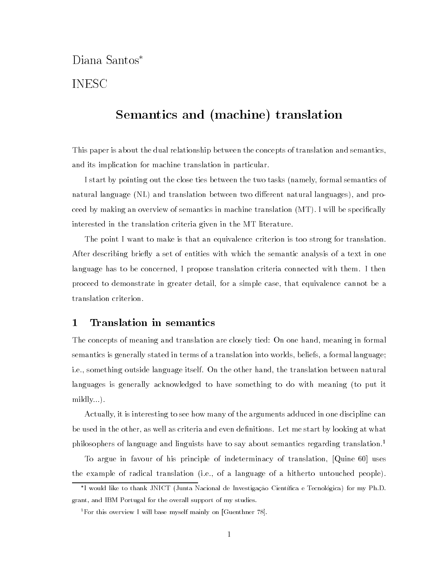# Diana Santos

# INESC

# se vand van van van die van van die van die van die van die van die van die van die van die van die van die va

This paper is about the dual relationship between the concepts of translation and semanticsand its implication for machine translation in particular

I start by pointing out the close ties between the two tasks namely- formal semantics of natural language NL and translation between two dierent natural languages- and pro ceed by making an overview of semantics in machine translation  $(MT)$ . I will be specifically interested in the translation criteria given in the MT literature

The point I want to make is that an equivalence criterion is too strong for translation. After describing briefly a set of entities with which the semantic analysis of a text in one language has to be concerned- I propose translation criteria connected with them I then proceed to demonstrate in greater details a simple case, included cannot cannot be a translation criterion

## 1 Translation in semantics

 $T$  meaning and translation are concepts of meaning  $T$  are closely time  $T$  . semantics is generally stated in terms of a translation into worlds-worlds-worlds-worlds-worlds-worlds-worldsie- something outside language itself On the other hand- the translation between natural languages is generally acknowledged to have something to do with meaning (to put it mildly...).

Actually- it is interesting to see how many of the arguments adduced in one discipline can be used in the other-density as well as well as well as  $\mathcal{L}$  and even denitions  $\mathcal{L}$ philosophers of language and linguists have to say about semantics regarding translation.<sup>1</sup>

To argue in favour of his principle of indeterminacy of translation- Quine 
uses the example of radical translation ie- of a language of a hitherto untouched people

I would like to thank JNICT (Junta Nacional de Investigação Científica e Tecnologica) for my Ph.D. grant and is an overall for the overall support of my studies.

<sup>&</sup>lt;sup>1</sup>For this overview I will base myself mainly on [Guenthner 78].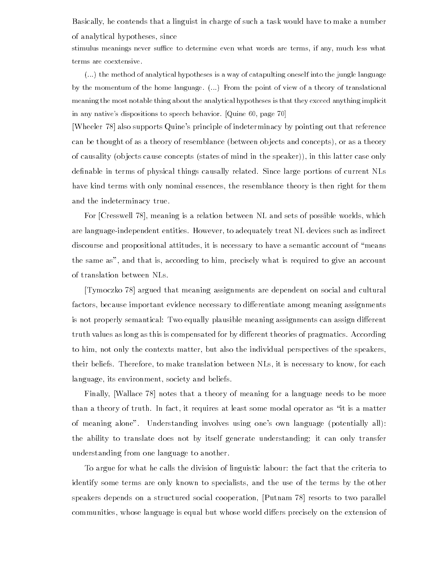Basically- he contends that a linguist in charge of such a task would have to makeanumber of analytical hypotheses-beam and the since  $\mathcal{A}$ 

stimulus meanings never su-ce to determine even what words are terms if any much less what terms are coextensive

 $\dots$ ) the method of analytical hypotheses is a way of catapulting oneself into the jungle language by the momentum of the home language.  $(\ldots)$  From the point of view of a theory of translational meaning the most notable thing about the analytical hypotheses is that they exceed anything implicit in any natives dispositions to specific another quine  $\alpha$  , page  $\alpha$ 

[Wheeler  $78$ ] also supports Quine's principle of indeterminacy by pointing out that reference can be the thought of as a theory of resemblance is the concepts and concepts-  $\mu$  as and conceptsof causality ob jects cause concepts states of mind in the speaker- in this latter case only definable in terms of physical things causally related. Since large portions of current NLs have kind terms with only nominal essences- the resemblance theory is then right for them and the indeterminacy true

 $\Gamma$  . The cresswell - mean  $\Gamma$  relation between NL and sets of possible worlds-worlds-worlds-worlds-worlds-worlds-worlds-worlds-worlds-worlds-worlds-worlds-worlds-worlds-worlds-worlds-worlds-worlds-worlds-worlds-worldsare language in the language continues to a control the such as indirect treat number and the such as indirect discourse and propositional attitudes- it is necessary to have a semantic account of means the same as- a cordinate is that is required to the cordinate the sequence is  $\Delta$  . The second to of translation between NLs

Tymoczko 78 argued that meaning assignments are dependent on social and cultural factors- because important evidence necessary to dierentiate among meaning assignments is not properly semantical Two equally plausible meaning assignments can assign dierent truth values as long as this is compensated for by different theories of pragmatics. According to him-i him-contexts matter-contexts matter-left matter-contexts matter-contexts of the individual perspectiv their contract therefore to make translation and there is need to know the second to the state of the second language- its environment- society and beliefs

Finally- Wallace notes that a theory of meaning for a language needs to be more than a theory of truth In fact-in fact-in fact-in fact-in fact-in fact-in  $\mathbf{r}$ of meaning alone". Understanding involves using one's own language (potentially all): the ability to translate does not by itself generate understanding; it can only transfer understanding from one language to another

 $T_{\rm A}$  argue for what he calls that the division of linguistic labour of linguistic labour  $T_{\rm A}$ identify some terms are only known to specialists- and the use of the terms by the other speakers depends on a structured social cooperation- Putnam resorts to two parallel communities- whose language is equal but whose world diers precisely on the extension of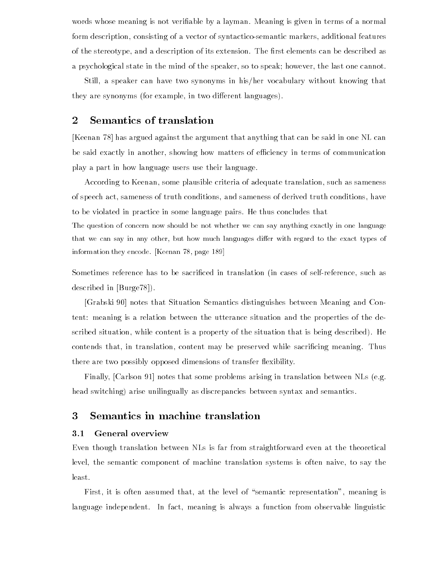words whose meaning is not verifiable by a layman. Meaning is given in terms of a normal form description- consisting of a vector of syntacticosemantic markers- additional features of the stereotype, which descriptions are restaurants can be description that as a described as a psychological state in the mind of the speaker- so to speak however- the last one cannot

still- a speaker can have two synonyms in his historical can have two synonyms in his  $\Delta$  that they are synonyms for example-synonyms for example-

### -Semantics of translation

Keenan 78 has argued against the argument that anything that can be said in one NL can  $\alpha$  showing the showing thermodynamic matters of equations of examples of communications of  $\alpha$ play a part in how language users use their language

According to Keenan- some plausible criteria of adequate translation- such as sameness of speech act-truth conditions- and same new productions- and same new productions- and same new productionsto be violated in practice in some language pairs He thus concludes that

The question of concern now should be not whether we can say anything exactly in one language that we can say in any other, but how much languages differ with regard to the exact types of information they encode. [Keenan  $78$ , page  $189$ ]

Sometimes reference has to be sacriced in translation in cases of selfreference- such as described in [Burge78]).

[Grabski 90] notes that Situation Semantics distinguishes between Meaning and Content meaning is a relation between the utterance situation and the properties of the de scribed situation- while content is a property of the situation that is being described He contends that in translation, content may be preserved while sacricing measured which there are two possibly opposed dimensions of transfer flexibility.

Finally- Carlson notes that some problems arising in translation between NLs eg head switching) arise unilingually as discrepancies between syntax and semantics.

## Semantics in machine translation

#### $3.1$ General overview

Even though translation between NLs is far from straightforward even at the theoretical level- the semantic component of machine translation systems is often naive- to say the least

First- it is often assumed that- at the level of semantic representation- meaning is language independent In fact- meaning is always a function from observable linguistic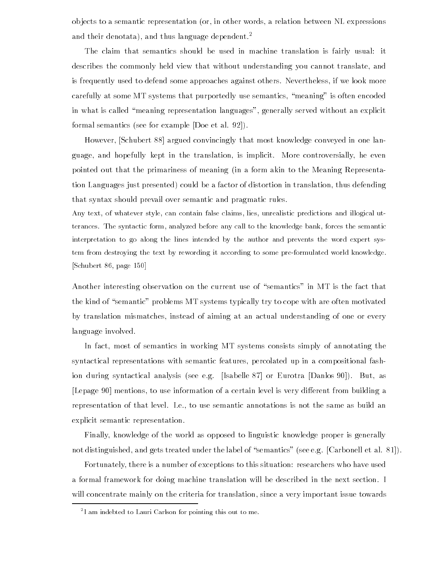ob jects to a semantic representation or- in other words- a relation between NL expressions and their denotata), and thus language dependent.

The claim that semantics should be used in machine translation is fairly usual it describes the common later that with without understanding  $\mathbf{M}$  and translate-translate-translate-translate-translate-translate-translate-translate-translate-translate-translate-translate-translate-translate-translate is frequently used to defend some approaches against others Nevertheless- if we look more carefully at some MT systems that purportedly use semantics- meaning is often encoded in what is called meaning representation languages- generally served without an explicit formal semantics (see for example  $[Doe et al. 92]).$ 

However- Schubert argued convincingly that most knowledge conveyed in one lan guage- and hopefully kept in the translation- is implicit More controversially- he even pointed out that the primariness of meaning (in a form akin to the Meaning Representation Languages just presented could be a factor of distortion in translation- thus defending that syntax should prevail over semantic and pragmatic rules

Any text, of whatever style, can contain false claims, lies, unrealistic predictions and illogical utterances The syntactic form analyzed before any call to the knowledge bank forces the semantic interpretation to go along the lines intended by the author and prevents the word expert sys tem from destroying the text by rewording it according to some preformulated world knowledge schubert van die page van die p

Another interesting observation on the current use of "semantics" in MT is the fact that the kind of "semantic" problems MT systems typically try to cope with are often motivated by translation mismatches- instead of aiming at an actual understanding of one or every language involved

In fact- most of semantics in working MT systems consists simply of annotating the syntactical representations with semantic features- percolated up in a compositional fash ion during syntactical analysis see eg Isabelle or Eurotra Danlos But- as Lepage mentions- to use information of a certain level is very dierent from building a representation of that level Iers, is not the same as build annotations is not the same as a build and explicit semantic representation

Finally- knowledge of the world as opposed to linguistic knowledge proper is generally not distinguished- and gets treated under the label of semantics see eg Carbonell et al

Fortunately- there is a number of exceptions to this situation researchers who have used a formal framework for doing machine translation will be described in the next section. I will concentrate mainly on the criteria for translation-increased the criteria formation-increased the contract

<sup>-</sup> I am indebted to Lauri Carlson for pointing this out to me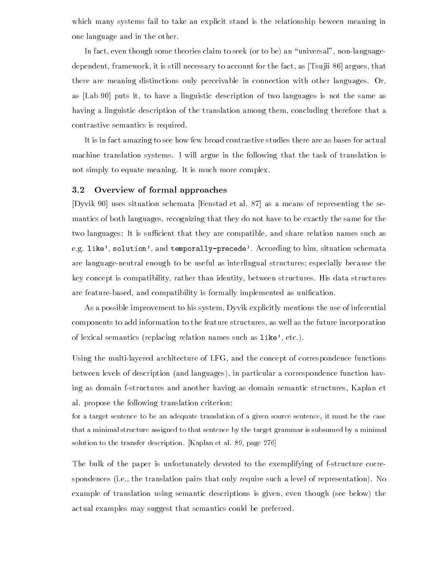which many systems fail to take an explicit stand is the relationship beween meaning in one language and in the other

In fact- even though some theories claim to seek or to be an universal- nonlanguage dependent-to-the framework-to-the-fact-to-the-fact-to-the-fact-to-the-fact-to-the-fact-to-the-fact-to-the-factthere are meaning distinctions only perceivable in connection with other languages.  $Or$ , as to have a linguistic description of two languages is not the same as  $\mu$  . The same as  $\mu$ having a linguistic description of the translation among them- concluding therefore that a contrastive semantics is required

It is in fact amazing to see how few broad contrastive studies there are as bases for actual machine translation systems I will argue in the following that the task of translation is not simply to equate meaning. It is much more complex.

#### Overview of formal approaches  $3.2$

[Dyvik 90] uses situation schemata [Fenstad et al. 87] as a means of representing the se $r_{\rm t}$  recognizing that they do not have to be exactly the same for the same for the same for the same for the same for the same for the same for the same for the same for the same for the same for the same for the same two companies of the thousands compatible-compatible-compatible-compatible-compatible-compatible-compatible-co eg like-time-temporally-temporally-preseded-through the main situation schemata are language-neutral enough to be useful as interlingual structures; especially because the key concept is compatibility- rather than identity- between structures His data structures are features and compatibility is formally interesting interpretention in assembly interesting as

as a possible improvement to his system, a provement the use of inferential mentions the use of inferential st components to add information to the feature structure incorporation the future incorporation in  $\alpha$  is not semantics propraeing relation names such as  $\blacksquare$ 

Using the multilayered architecture of LFG- and the concept of correspondence functions between levels of description and languages- in particular a correspondence function hav ing as domain fstructures and another having as domain semantic structures- Kaplan et al. propose the following translation criterion:

for a target sentence to be an adequate translation of a given source sentence it must be the case that a minimal structure assigned to that sentence by the target grammar is subsumed by a minimal solution to the transfer description. [Kaplan et al. 89, page  $276$ ]

The bulk of the paper is unfortunately devoted to the exemplifying of f-structure correspondences ie- the translation pairs that only require such a level of representation No example of translation using semantic descriptions is given- even though see below the actual examples may suggest that semantics could be preferred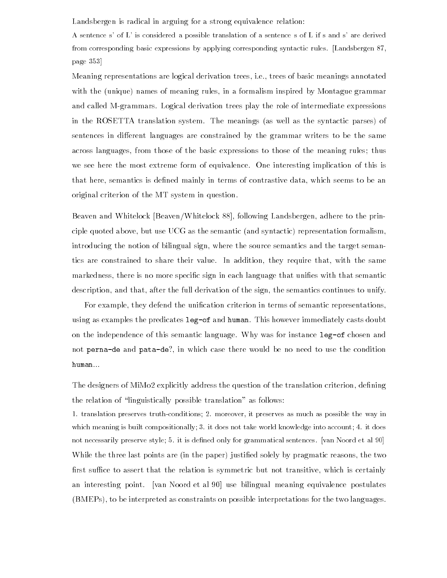Landsbergen is radical in arguing for a strong equivalence relation:

A sentence s' of L' is considered a possible translation of a sentence s of L if s and s' are derived from corresponding basic expressions by applying corresponding syntactic rules. [Landsbergen 87, page 

Meaning representations are logical derivation trees- ie- trees of basic meanings annotated with the unique names of meaning rules, in a formalism inspired by Formalism  $\alpha$  , where  $\alpha$ and called M-grammars. Logical derivation trees play the role of intermediate expressions in the ROSETTA translation system. The meanings (as well as the syntactic parses) of sentences in different languages are constrained by the grammar writers to be the same across ranges- through the basic expressions the meaning rules the meaning rules through the meaning rules tha we see here the most extreme form of equivalence One interesting implication of this is that here-independent is denimed mainly in terms of contrasts which seems to be an an and original criterion of the MT system in question

Beaven and Whitelock BeavenWhitelock - following Landsbergen- adhere to the prin ciple quoted above- but use UCG as the semantic and syntactic representation formalismintroducing the notion of bilingual sign-ducingual sign-ducingual sign-ducingual sign-ducingual signtics are constrained to share their value In addition- they require that- with the same marked is no more specified signed that the company is that semant with the semantic semantic semantic semantic description, which there is the sign-derivation of the sign, the semantics continues to unify,

For example- they defend the unication criterion in terms of semantic representationsusing as examples the predicates leg-of and human. This however immediately casts doubt on the independence of this semantic language. Why was for instance leg-of chosen and not **perma as and patel as:** in which case there would be no need to use the condition human

The designers of MiMo explicitly address the question of the translation criterion- dening the relation of "linguistically possible translation" as follows:

1. translation preserves truth-conditions; 2. moreover, it preserves as much as possible the way in which meaning is built compositionally; 3. it does not take world knowledge into account; 4. it does not necessarily preserve style it is dened only for grammatical sentences van Noord et al  while the three last points are in the paper  $\mu$  protests are  $\mu$  progressed and the two reasonsrst suce to assert that the relation is symmetric but not transitive- which is certainly an interesting point. [van Noord et al 90] use bilingual meaning equivalence postulates  $\mathbf{b}$  as constraints on possible interpretations for the two languages for the two languages for the two languages  $\mathbf{b}$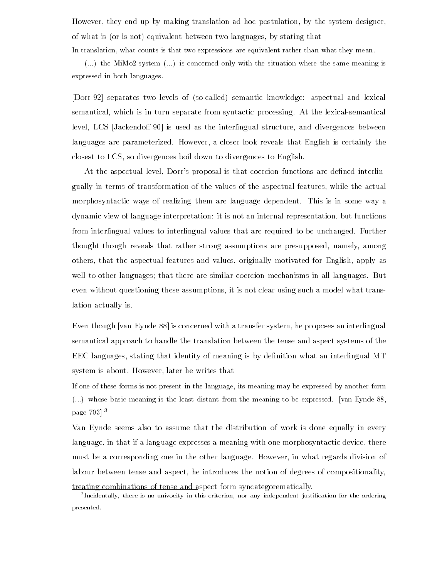However- they end up by making translation ad hoc postulation- by the system designerof what is or is not equivalent between two languages- by stating that In translation, what counts is that two expressions are equivalent rather than what they mean.

 $\dots$ ) the MiMo2 system  $\dots$  is concerned only with the situation where the same meaning is expressed in both languages

Dorr separates two levels of socalled semantic knowledge aspectual and lexical semantical- which is in turn separate from syntactic processing At the lexicalsemantical level- LCS Jackendo is used as the interlingual structure- and divergences between languages are parameterized However- a closer look reveals that English is certainly the constant to divergences boil down to divergence to English the Companies to English

At the aspectual level- Dorrs proposal is that coercion functions are dened interlin gually in terms of transformation of the values of the aspectual features-  $\cdots$  and the actual morphosyntactic ways of realizing them are language dependent. This is in some way a dynamic view of language interpretations in it is not an internal representation, which interest from interlingual values to interlingual values that are required to be unchanged. Further thought though reveals that rather strong assumptions are presupposed- namely- among others-that the aspectual features and values-for English-View and values-for English-View aspectual features well to other languages; that there are similar coercion mechanisms in all languages. But even without questioning inter who will provide as as a model while which it is not clear using the such a mod lation actually is

Even though van Eynde is concerned with a transfer system- he proposes an interlingual semantical approach to handle the translation between the tense and aspect systems of the EEC languages- stating that identity of meaning is by denition what an interlingual MT system is about However- later he writes that

If one of these forms is not present in the language its meaning may be expressed by another form  $(\ldots)$  whose basic meaning is the least distant from the meaning to be expressed. [van Eynde 88, page 

Van Eynde seems also to assume that the distribution of work is done equally in every language- in that if a language expresses a meaning with one morphosyntactic device- there must be a corresponding one in the other language However- in what regards division of labour between tense and aspect- he introduces the notion of degrees of compositionality-

treating combinations of tense and aspect form syncategorematically

Incidentally, there is no univocity in this criterion, nor any independent justification for the ordering the presented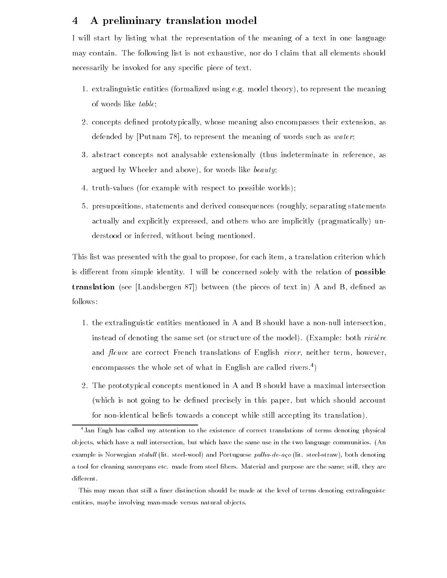### A preliminary translation model 4

I will start by listing what the representation of the meaning of a text in one language may contain The following list is not exhaustive-dominated intervals shown in  $\mathcal{I}(\mathbf{A})$ necessarily be invoked for any specific piece of text.

- extra international contracts for constraints when  $\Delta$  and means the contracts theoretical theoretical contracts of words like table
- concepts dened prototypically- whose meaning also encompasses their extension- as assessed by putnaming the represent the meaning or water such as water the meaning
- abstract concepts not an analysable extensionally thus indeterminate in referenceargued by Wheeler and above-like beauty and above-
- 4. truth-values (for example with respect to possible worlds);
- presupositions- statements and derived consequences roughly- separating statements actually and others who are indeed and others who are implicitly pragmatically unc aarraa without being mentioned and mentioned and

this list was presented with the goal to propose-their criterion criterion criterion which is different from simple identity. I will be concerned solely with the relation of **possible** translation see the contraction of the pieces the pieces of text in A and B-1 and B-1 and B-1 and Bfollows

- 1. the extralinguistic entities mentioned in A and B should have a non-null intersection. instead of denoting the same set or structure of the model Example both rivi-ere and euve are correct French translations of English river- neither term- howeverencompasses the whole set of what in English are called rivers
- 2. The prototypical concepts mentioned in A and B should have a maximal intersection which is not going to be denoted precisely in this paperfor non-identical beliefs towards a concept while still accepting its translation).

This may mean that still a finer distinction should be made at the level of terms denoting extralinguistc entities maybe involving manmade versus natural objects 

<sup>&</sup>lt;sup>4</sup>Jan Engh has called my attention to the existence of correct translations of terms denoting physical ob jects which have the same use intersection intersection and the two language communities  $\mathbf{A}$ example is not acquait statut into steel wool und I ortuguese palla-ac aco (int. steel struct), soon denoting a tool for cleaning saucepans etc made from steel bers Material and purpose are the same still they are different.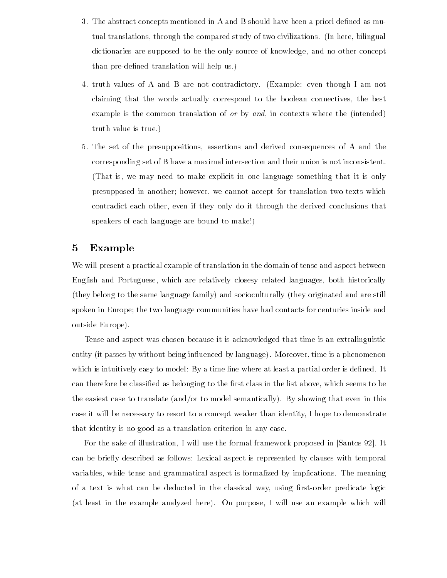- 3. The abstract concepts mentioned in A and B should have been a priori defined as mutual translations- through the compared study of two civilizations In here- bilingual dictionaries are supposed to be the only source of knowledge- and no other concept than pre-defined translation will help us.)
- truth values of A are not to a are not contradictory, including the contradictory  $\mathcal{L}$ claiming that the words actually correspond to the boolean connectives- the best example is the common translation of or by and- in contexts where the intended truth value is true
- The set of the presuppositions- assertions and derived consequences of A and the corresponding set of B have a maximal intersection and their union is not inconsistent That is - we may need to may need to make explicit in one language something that it is only that it is only that it is only that it is only that it is only that it is only that it is only that it is only that it is only presupposed in another how accept for the substance of the text in the texts which which the texts which the s contradict each other-term if they only do it through the derived conclusions that the derived conclusions tha speakers of each language are bound to make

## 5 Example

We will present a practical example of translation in the domain of tense and aspect between English and Portuguese- which are relatively closesy related languages- both historically (they belong to the same language family) and socioculturally (they originated and are still spoken in Europe; the two language communities have had contacts for centuries inside and outside Europe

Tense and aspect was chosen because it is acknowledged that time is an extralinguistic entity it passes by without being influenced by language, which is a phenomenon which is intuitively easy to model intuitively easy to model in the set of  $\mathbb{R}^n$ can therefore be classified as belonging to the list class in the list above-the list abovethe easiest case to translate  $(and/or to model semantically)$ . By showing that even in this case it will be necessary to resort to a concept weaker than identity, respect to demonstrate that identity is no good as a translation criterion in any case

. It will use the formal framework of the formal framework proposed in the formal framework  $\mathcal{L}$ can be brief as follows as follows as follows with temporal aspect is represented by clauses with temporal asp variables- while tense and grammatical aspect is formalized by implications The meaning of a text is where each be deducted in the classical way, while it are predicate logic at least in the example analyzed here On purpose- I will use an example which will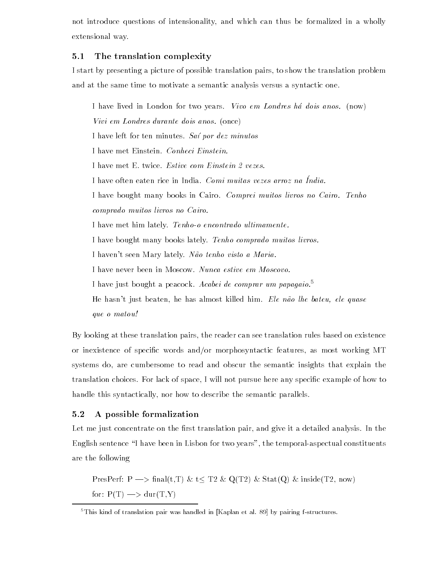not introduce questions of intensionality- and which can thus be formalized in a wholly extensional way

### 5.1 The translation complexity

I start by presenting a picture of possible translation pairs- to show the translation problem and at the same time to motivate a semantic analysis versus a syntactic one

I have lived in London for two years. Vivo em Londres há dois anos. (now) Vivi em Londres durante dois anos.  $(once)$ I have left for ten minutes. Saí por dez minutos I have met Einstein. Conheci Einstein. I have met E. twice. Estive com Einstein 2 vezes. I have often eaten fite in India. Comi muitas vezes arroz na India. I have bought many books in Cairo. Comprei muitos livros no Cairo. Tenho comprado muitos livros no Cairo I have met him lately. Tenho-o encontrado ultimamente. I have bought many books lately. Tenho comprado muitos livros. I haven't seen Mary lately. Não tenho visto a Maria. I have never been in Moscow. Nunca estive em Moscovo. I have just bought a peacock. Acabei de comprar um papagaio.<sup>5</sup> ele beaten i just beaten die beaten almost klasse beliefe beaten almost kille him gebiet die

que o matou

By looking at these translation pairs- the reader can see translation rules based on existence or inexistence of specic words andor morphosyntactic features- as most working MT systems do- are cumbersome to read and obscur the semantic insights that explain the translation choices For any space-of space-of space-of-pursue here any specific examples in mass in handle this syntactically- nor how to describe the semantic parallels

#### $5.2$ A possible formalization

Let me just concentrate on the rst translation pair- and give it a detailed analysis In the English sentence I have been in Lisbon for two years- the temporalaspectual constituents are the following

PresPerf P nalt-T t T QT StatQ insideT- now for PT durT-Y

 $5$ This kind of translation pair was handled in [Kaplan et al. 89] by pairing f-structures.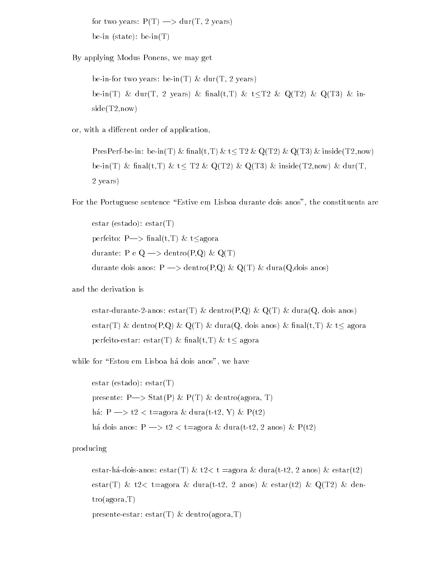for two years in the part of the second second terms of the second second second second second second second s bein state being the state of the state of the state of the state of the state of the state of the state of the

By applying Modus Ponens- we may get

 $\alpha$  . The set of the during the decomposition of  $\alpha$  during the set of  $\alpha$  and  $\alpha$ beinT durch and the family of the second of the second with the second control of the second control of the second sideT-now

or, with a dierent of a dierent of application-

present the second the present of the present of the second of the second contract of the second the second th beinT na the the transit of the T-th and the T-th and the three that  $\alpha$  is the three that  $\alpha$ 2 years)

For the Portuguese sentence Estive em Lisboa durante dois anos- the constituents are

estas estas estas por estas estas por estas entre estas entre entre estados entre entre entre entre entre entre entre entre entre entre entre entre entre entre entre entre entre entre entre entre entre entre entre entre en perfect to the property of the company of the second second terms of the second second terms of the second second terms of the second second terms of the second second terms of the second second terms of the second second  $\alpha$  and  $\alpha$  and  $\alpha$  and  $\alpha$   $\alpha$   $\alpha$   $\alpha$   $\alpha$ durante dois anos P dentroP-Q QT duraQ-dois anos

and the derivation is

estardurantean dentrop-legarduraleganos de la proporcionada de la contropolación de la contropolación de la co estart of dentrop-  $\{u_i\}$  . We do not all distinct the second time  $\{u_i\}$  and  $\{u_i\}$ perfect the contract  $\mathcal{L}$  is the contract of the contract of  $\mathcal{L}$ 

while for Eston em Lisboa h a dois anos-ben em Lisboa h a dois anos-ben em Lisboa h a dois anos-ben em Lisboa

presente estart estart proven sentroagora-super

estas estados estados en el control de la control de la control de la control de la control de la control de l  $p \cdot \cos(n \cdot \pi) = p \cdot \cos(n \cdot \pi)$  to  $p \cdot \sin(n \cdot \pi)$  and  $p \cdot \sin(n \cdot \pi)$ h!a P t - t"agora duratt- Y Pt he do the state of the state of the state of the state of the state of the state of the state of the state of the state of the state of the state of the state of the state of the state of the state of the state of the stat

producing

estar esta duratti estarti estarti estarti estarti estarti estarti estarti estarti estarti estarti estarti es estart to de la completa de marcalle de marcal de marcalles que mos modelle de marcalles de mos de la completa troagona a control and the control of the control of the control of the control of the control of the control of the control of the control of the control of the control of the control of the control of the control of the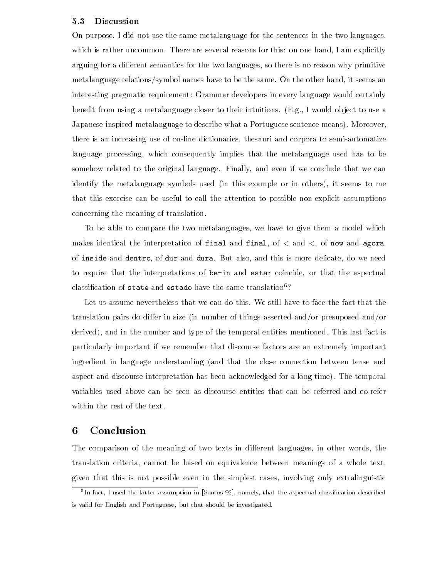#### $5.3$ Discussion

On purpose- I did not use the same metalanguage for the sentences in the two languageswhich is rather and reasons to match in the several reasons for the several reasons for the second  $\mathcal{I}$ arguing for a dierent semantics for the two languages- so there is no reason why primitive metalanguage relationship it seems at management to be the same of the same other handinteresting pragmatic requirement Grammar developers in every language would certainly benet from using a metalanguage closer to their intuitions Eg- I would ob ject to use a Japanese-inspired metalanguage to describe what a Portuguese sentence means). Moreover, there is an increasing use of online dictionaries- thesauri and corpora to semiautomatize language processing- which consequently implies that the metalanguage used has to be some  $\mathcal{L}$  and even if we conclude that we conclude that we conclude that we conclude that we can even if we can even if we can even if we conclude that we can even if we can even if we can even if we can even if we ca identify the metalanguage symbols used in this example or in others- it seems to me that this exercise can be useful to call the attention to possible nonexplicit assumptions concerning the meaning of translation

To be able to compare the two metalanguages-to-give them a model which which which which which which which which which which we have the set of  $\mathcal{W}$  $\frac{1}{2}$  is a final and interpretation of final and final-  $\frac{1}{2}$  of  $\frac{1}{2}$  of now and  $\frac{1}{2}$ of the two duct well be well and well as buy and this is more denoming to we need to require that the interpretations of **be in and estar** coincide, or that the aspectual classification of state and estado have the same translation<sup>6</sup>?

Let us assume nevertheless that we can do this We still have to face the fact that the translation pairs do differ in size (in number of things asserted and/or presuposed and/or and in the number of the number and the number of the temporal entities mentioned This last fact is and the t particularly important if we remember that discourse factors are an extremely important ingredient in language understanding (and that the close connection between tense and aspect and discourse interpretation has been acknowledged for a long time). The temporal variables used above can be seen as discourse entities that can be referred and corefer within the rest of the text

### Conclusion 6

The comparison of the meaning of two texts in dierent languages- in other words- the translation criterial construction and the equivalence between meanings of a whole textgiven that this is not possible even in the simplest cases- involving only extralinguistic

In fact, I used the latter assumption in |Santos 92|, namely, that the aspectual classification described is valid for English and Portuguese but that should be investigated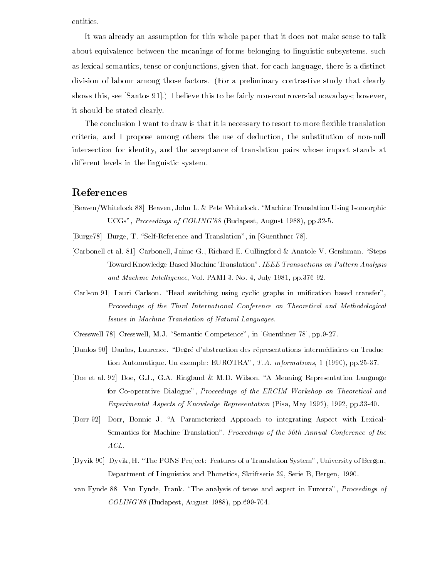entities.

It was already an assumption for this whole paper that it does not make sense to talk about equivalence between the meanings of forms belonging to meaning the substitution of the such substitution as lexical semantics-conjunctions-conjunctions-conjunctions-conjunctions-conjunctions-conjunctions-conjunctionsdivision of labour among those factors. (For a preliminary contrastive study that clearly shows the see Santos in the see Santos  $\mathbf{I}$  believe this to be fairly non-controversial non-controversial non-controversial non-controversial non-controversial non-controversial non-controversial non-controversial non it should be stated clearly

The conclusion I want to draw is that it is necessary to resort to more flexible translation criteria- the substitution of the substitution- the substitution- the substitution- the substitutionintersection for identity- and the acceptance of translation pairs whose import stands at different levels in the linguistic system.

# References

- [Beaven/Whitelock 88] Beaven, John L. & Pete Whitelock. "Machine Translation Using Isomorphic UCC- Proceedings of COLING-TECHNOLOGIC STATE AUGUST AUGUST AUGUST 2019
- [Burge78] Burge, T. "Self-Reference and Translation", in [Guenthner 78].
- [Carbonell et al. 81] Carbonell, Jaime G., Richard E. Cullingford & Anatole V. Gershman. "Steps Toward Knowledge-Based Machine Translation", IEEE Transactions on Pattern Analysis and Machine Intelligence, Vol. PAMI-3, No. 4, July 1981, pp.376-92.
- [Carlson 91] Lauri Carlson. "Head switching using cyclic graphs in unification based transfer", Proceedings of the Third International Conference on Theoretical and Methodological Issues in Machine Translation of Natural Languages
- [Cresswell 78] Cresswell, M.J. "Semantic Competence", in [Guenthner 78], pp.9-27.
- Danlos  Danlos Laurence Degre dabstraction des representations intermediaires en Traduc tion automatique Un exemple EUROTRA TAGE Units any construction provide Property in
- [Doe et al. 92] Doe, G.J., G.A. Ringland & M.D. Wilson. "A Meaning Representation Language for Co-operative Dialogue", Proceedings of the ERCIM Workshop on Theoretical and Experimental Aspects of Know ledge Representation Pisa May pp
- [Dorr 92] Dorr, Bonnie J. "A Parameterized Approach to integrating Aspect with Lexical-Semantics for Machine Translation", Proceedings of the 30th Annual Conference of the ACL
- Dyvik  Dyvik H The PONS Project Features of a Translation System University of Bergen Department of Linguistics and Phonetics Skriftserie Serie B Bergen
- [van Eynde 88] Van Eynde, Frank. "The analysis of tense and aspect in Eurotra", Proceedings of est and the property and the property of the collection of the collection of the collection of the collection of the collection of the collection of the collection of the collection of the collection of the collection of t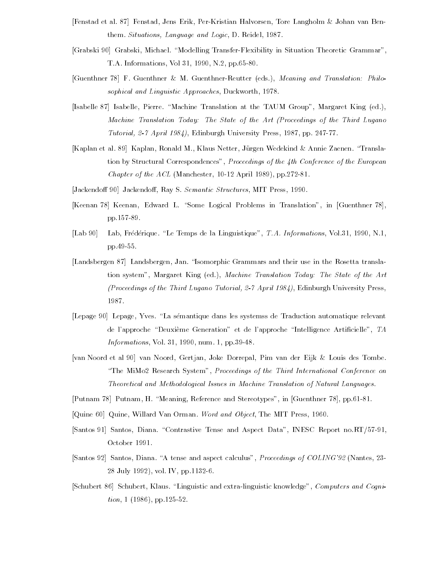- [Fenstad et al. 87] Fenstad, Jens Erik, Per-Kristian Halvorsen, Tore Langholm & Johan van Benthem. Situations, Language and Logic, D. Reidel, 1987.
- Grabski  Grabski Michael Modelling TransferFlexibility in Situation Theoretic Grammar TA Informations Vol N pp
- [Guenthner 78] F. Guenthner & M. Guenthner-Reutter (eds.), Meaning and Translation: Philosophical and Linguistic Approaches, Duckworth, 1978.
- [Isabelle 87] Isabelle, Pierre. "Machine Translation at the TAUM Group", Margaret King (ed.). Machine Translation Today The State of the Art Proceedings of the Third Lugano Tutorial,  $2.7$  April 1984), Edinburgh University Press, 1987, pp. 247-77.
- [Kaplan et al. 89] Kaplan, Ronald M., Klaus Netter, Jürgen Wedekind & Annie Zaenen. "Translation by Structural Correspondences". Proceedings of the  $\lambda$ th Conference of the European Chapter of the AcQua (Accessional Access and Acceptant Acts of Philips and Ac
- Jackendo
 Jackendo
Ray S Semantic Structures MIT Press
- [Keenan 78] Keenan, Edward L. "Some Logical Problems in Translation", in [Guenthner 78], pp.157-89.
- [Lab  $90$ ]  Lab Frederique Le Temps de la Linguistique TA Informations Vol N pp.49-55.
- [Landsbergen 87] Landsbergen, Jan. "Isomorphic Grammars and their use in the Rosetta translation system", Margaret King (ed.), Machine Translation Today: The State of the Art Proceedings of the Third Lugano Tutorial  April 
Edinburgh University Press 1987.
- Lepage  Lepage Yves La semantique dans les systemss de Traduction automatique relevant de l'approche "Deuxième Generation" et de l'approche "Intelligence Artificielle", TA entre interesting the state of the content of the state of the state of the state of the state of the state of
- van Noord et al  van Noord Gertjan Joke Dorrepal Pim van der Eijk Louis des Tombe "The MiMo2 Research System", Proceedings of the Third International Conference on Theoretical and Methodological Issues in Machine Translation of Natural Languages
- [Putnam 78] Putnam, H. "Meaning, Reference and Stereotypes", in [Guenthner 78], pp.61-81.
- , quine a representative Mitchell and Object The Mitchell and Object The Mitchell and Object The Mitchell and
- [Santos 91] Santos, Diana. "Contrastive Tense and Aspect Data", INESC Report no.RT/57-91, October 1991.
- Santos  Santos Diana A tense and aspect calculus Proceedings of COLING- Nantes  $28$  July  $1992$ , vol. IV, pp. 1132-6.
- [Schubert 86] Schubert, Klaus. "Linguistic and extra-linguistic knowledge", Computers and Cogni $tion, 1 (1986), pp.125-52.$